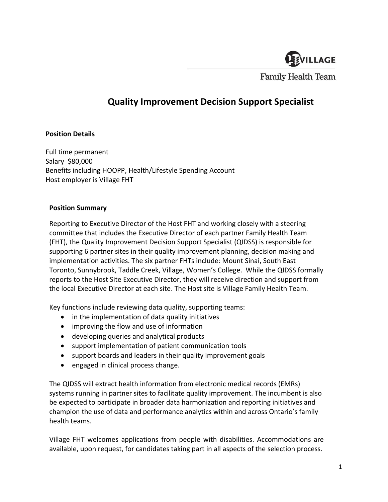

**Family Health Team** 

# Quality Improvement Decision Support Specialist

## Position Details

Full time permanent Salary \$80,000 Benefits including HOOPP, Health/Lifestyle Spending Account Host employer is Village FHT

#### Position Summary

Reporting to Executive Director of the Host FHT and working closely with a steering committee that includes the Executive Director of each partner Family Health Team (FHT), the Quality Improvement Decision Support Specialist (QIDSS) is responsible for supporting 6 partner sites in their quality improvement planning, decision making and implementation activities. The six partner FHTs include: Mount Sinai, South East Toronto, Sunnybrook, Taddle Creek, Village, Women's College. While the QIDSS formally reports to the Host Site Executive Director, they will receive direction and support from the local Executive Director at each site. The Host site is Village Family Health Team.

Key functions include reviewing data quality, supporting teams:

- in the implementation of data quality initiatives
- improving the flow and use of information
- developing queries and analytical products
- support implementation of patient communication tools
- support boards and leaders in their quality improvement goals
- engaged in clinical process change.

The QIDSS will extract health information from electronic medical records (EMRs) systems running in partner sites to facilitate quality improvement. The incumbent is also be expected to participate in broader data harmonization and reporting initiatives and champion the use of data and performance analytics within and across Ontario's family health teams.

Village FHT welcomes applications from people with disabilities. Accommodations are available, upon request, for candidates taking part in all aspects of the selection process.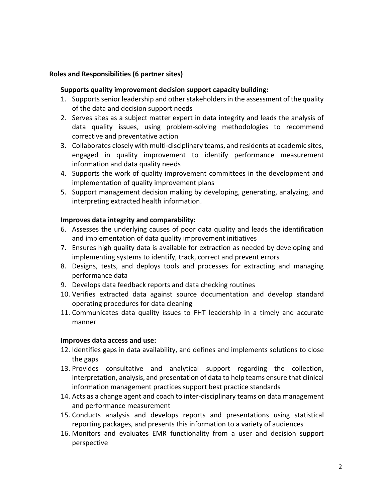#### Roles and Responsibilities (6 partner sites)

#### Supports quality improvement decision support capacity building:

- 1. Supports senior leadership and other stakeholders in the assessment of the quality of the data and decision support needs
- 2. Serves sites as a subject matter expert in data integrity and leads the analysis of data quality issues, using problem-solving methodologies to recommend corrective and preventative action
- 3. Collaborates closely with multi-disciplinary teams, and residents at academic sites, engaged in quality improvement to identify performance measurement information and data quality needs
- 4. Supports the work of quality improvement committees in the development and implementation of quality improvement plans
- 5. Support management decision making by developing, generating, analyzing, and interpreting extracted health information.

## Improves data integrity and comparability:

- 6. Assesses the underlying causes of poor data quality and leads the identification and implementation of data quality improvement initiatives
- 7. Ensures high quality data is available for extraction as needed by developing and implementing systems to identify, track, correct and prevent errors
- 8. Designs, tests, and deploys tools and processes for extracting and managing performance data
- 9. Develops data feedback reports and data checking routines
- 10. Verifies extracted data against source documentation and develop standard operating procedures for data cleaning
- 11. Communicates data quality issues to FHT leadership in a timely and accurate manner

#### Improves data access and use:

- 12. Identifies gaps in data availability, and defines and implements solutions to close the gaps
- 13. Provides consultative and analytical support regarding the collection, interpretation, analysis, and presentation of data to help teams ensure that clinical information management practices support best practice standards
- 14. Acts as a change agent and coach to inter-disciplinary teams on data management and performance measurement
- 15. Conducts analysis and develops reports and presentations using statistical reporting packages, and presents this information to a variety of audiences
- 16. Monitors and evaluates EMR functionality from a user and decision support perspective